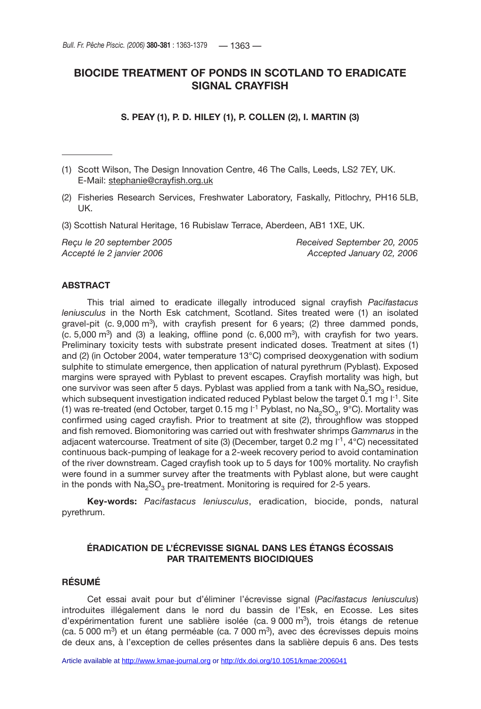# **BIOCIDE TREATMENT OF PONDS IN SCOTLAND TO ERADICATE SIGNAL CRAYFISH**

**S. PEAY (1), P. D. HILEY (1), P. COLLEN (2), I. MARTIN (3)**

- (2) Fisheries Research Services, Freshwater Laboratory, Faskally, Pitlochry, PH16 5LB, UK.
- (3) Scottish Natural Heritage, 16 Rubislaw Terrace, Aberdeen, AB1 1XE, UK.

*Reçu le 20 september 2005 Received September 20, 2005 Accepté le 2 janvier 2006 Accepted January 02, 2006*

### **ABSTRACT**

This trial aimed to eradicate illegally introduced signal crayfish *Pacifastacus leniusculus* in the North Esk catchment, Scotland. Sites treated were (1) an isolated gravel-pit (c. 9,000 m<sup>3</sup>), with cravfish present for 6 years; (2) three dammed ponds,  $(c. 5,000 \text{ m}^3)$  and (3) a leaking, offline pond  $(c. 6,000 \text{ m}^3)$ , with crayfish for two years. Preliminary toxicity tests with substrate present indicated doses. Treatment at sites (1) and (2) (in October 2004, water temperature 13°C) comprised deoxygenation with sodium sulphite to stimulate emergence, then application of natural pyrethrum (Pyblast). Exposed margins were sprayed with Pyblast to prevent escapes. Crayfish mortality was high, but one survivor was seen after 5 days. Pyblast was applied from a tank with Na<sub>2</sub>SO<sub>2</sub> residue, which subsequent investigation indicated reduced Pyblast below the target  $0.1$  mg  $1<sup>-1</sup>$ . Site (1) was re-treated (end October, target 0.15 mg  $I^{-1}$  Pyblast, no Na<sub>2</sub>SO<sub>3</sub>, 9°C). Mortality was confirmed using caged crayfish. Prior to treatment at site (2), throughflow was stopped and fish removed. Biomonitoring was carried out with freshwater shrimps *Gammarus* in the adjacent watercourse. Treatment of site (3) (December, target 0.2 mg l-1, 4°C) necessitated continuous back-pumping of leakage for a 2-week recovery period to avoid contamination of the river downstream. Caged crayfish took up to 5 days for 100% mortality. No crayfish were found in a summer survey after the treatments with Pyblast alone, but were caught in the ponds with  $Na<sub>2</sub>SO<sub>3</sub>$  pre-treatment. Monitoring is required for 2-5 years.

**Key-words:** *Pacifastacus leniusculus*, eradication, biocide, ponds, natural pyrethrum.

## **ÉRADICATION DE L'ÉCREVISSE SIGNAL DANS LES ÉTANGS ÉCOSSAIS PAR TRAITEMENTS BIOCIDIQUES**

### **RÉSUMÉ**

Cet essai avait pour but d'éliminer l'écrevisse signal (*Pacifastacus leniusculus*) introduites illégalement dans le nord du bassin de l'Esk, en Ecosse. Les sites  $d'$ expérimentation furent une sablière isolée (ca. 9 000 m<sup>3</sup>), trois étangs de retenue (ca. 5 000 m<sup>3</sup>) et un étang perméable (ca. 7 000 m<sup>3</sup>), avec des écrevisses depuis moins de deux ans, à l'exception de celles présentes dans la sablière depuis 6 ans. Des tests

<sup>(1)</sup> Scott Wilson, The Design Innovation Centre, 46 The Calls, Leeds, LS2 7EY, UK. E-Mail: stephanie@crayfish.org.uk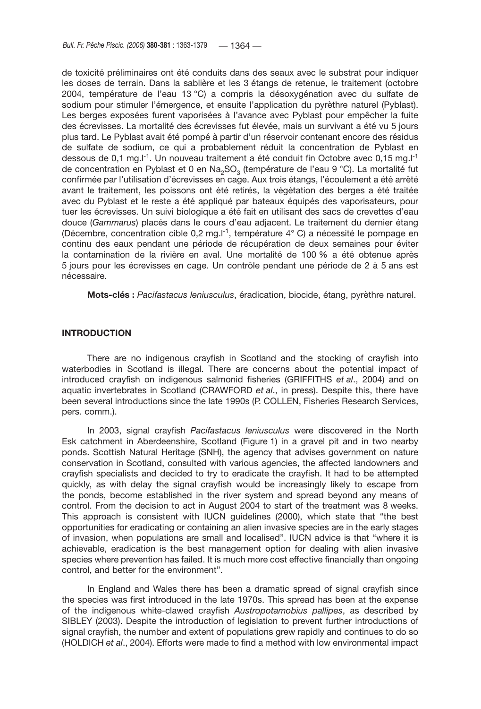de toxicité préliminaires ont été conduits dans des seaux avec le substrat pour indiquer les doses de terrain. Dans la sablière et les 3 étangs de retenue, le traitement (octobre 2004, température de l'eau 13 °C) a compris la désoxygénation avec du sulfate de sodium pour stimuler l'émergence, et ensuite l'application du pyrèthre naturel (Pyblast). Les berges exposées furent vaporisées à l'avance avec Pyblast pour empêcher la fuite des écrevisses. La mortalité des écrevisses fut élevée, mais un survivant a été vu 5 jours plus tard. Le Pyblast avait été pompé à partir d'un réservoir contenant encore des résidus de sulfate de sodium, ce qui a probablement réduit la concentration de Pyblast en dessous de 0,1 mg.  $1^{-1}$ . Un nouveau traitement a été conduit fin Octobre avec 0,15 mg.  $1^{-1}$ de concentration en Pyblast et 0 en Na<sub>2</sub>SO<sub>3</sub> (température de l'eau 9 °C). La mortalité fut confirmée par l'utilisation d'écrevisses en cage. Aux trois étangs, l'écoulement a été arrêté avant le traitement, les poissons ont été retirés, la végétation des berges a été traitée avec du Pyblast et le reste a été appliqué par bateaux équipés des vaporisateurs, pour tuer les écrevisses. Un suivi biologique a été fait en utilisant des sacs de crevettes d'eau douce (*Gammarus*) placés dans le cours d'eau adjacent. Le traitement du dernier étang (Décembre, concentration cible 0,2 mg.l-1, température 4° C) a nécessité le pompage en continu des eaux pendant une période de récupération de deux semaines pour éviter la contamination de la rivière en aval. Une mortalité de 100 % a été obtenue après 5 jours pour les écrevisses en cage. Un contrôle pendant une période de 2 à 5 ans est nécessaire.

**Mots-clés :** *Pacifastacus leniusculus*, éradication, biocide, étang, pyrèthre naturel.

### **INTRODUCTION**

There are no indigenous crayfish in Scotland and the stocking of crayfish into waterbodies in Scotland is illegal. There are concerns about the potential impact of introduced crayfish on indigenous salmonid fisheries (GRIFFITHS *et al*., 2004) and on aquatic invertebrates in Scotland (CRAWFORD *et al*., in press). Despite this, there have been several introductions since the late 1990s (P. COLLEN, Fisheries Research Services, pers. comm.).

In 2003, signal crayfish *Pacifastacus leniusculus* were discovered in the North Esk catchment in Aberdeenshire, Scotland (Figure 1) in a gravel pit and in two nearby ponds. Scottish Natural Heritage (SNH), the agency that advises government on nature conservation in Scotland, consulted with various agencies, the affected landowners and crayfish specialists and decided to try to eradicate the crayfish. It had to be attempted quickly, as with delay the signal crayfish would be increasingly likely to escape from the ponds, become established in the river system and spread beyond any means of control. From the decision to act in August 2004 to start of the treatment was 8 weeks. This approach is consistent with IUCN guidelines (2000), which state that "the best opportunities for eradicating or containing an alien invasive species are in the early stages of invasion, when populations are small and localised". IUCN advice is that "where it is achievable, eradication is the best management option for dealing with alien invasive species where prevention has failed. It is much more cost effective financially than ongoing control, and better for the environment".

In England and Wales there has been a dramatic spread of signal crayfish since the species was first introduced in the late 1970s. This spread has been at the expense of the indigenous white-clawed crayfish *Austropotamobius pallipes*, as described by SIBLEY (2003). Despite the introduction of legislation to prevent further introductions of signal crayfish, the number and extent of populations grew rapidly and continues to do so (HOLDICH *et al*., 2004). Efforts were made to find a method with low environmental impact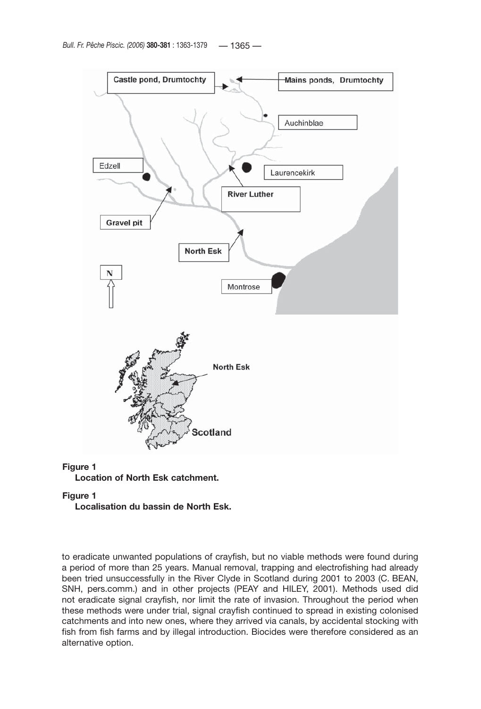

### **Figure 1**

**Location of North Esk catchment.**

### **Figure 1**

**Localisation du bassin de North Esk.**

to eradicate unwanted populations of crayfish, but no viable methods were found during a period of more than 25 years. Manual removal, trapping and electrofishing had already been tried unsuccessfully in the River Clyde in Scotland during 2001 to 2003 (C. BEAN, SNH, pers.comm.) and in other projects (PEAY and HILEY, 2001). Methods used did not eradicate signal crayfish, nor limit the rate of invasion. Throughout the period when these methods were under trial, signal crayfish continued to spread in existing colonised catchments and into new ones, where they arrived via canals, by accidental stocking with fish from fish farms and by illegal introduction. Biocides were therefore considered as an alternative option.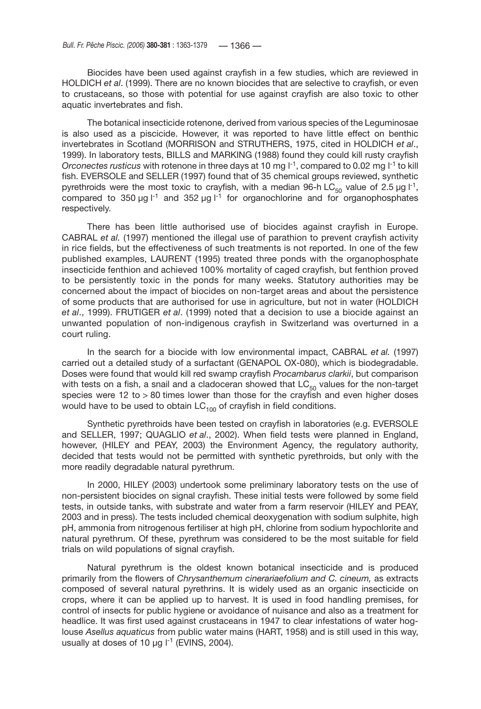Biocides have been used against crayfish in a few studies, which are reviewed in HOLDICH *et al*. (1999). There are no known biocides that are selective to crayfish, or even to crustaceans, so those with potential for use against crayfish are also toxic to other aquatic invertebrates and fish.

The botanical insecticide rotenone, derived from various species of the Leguminosae is also used as a piscicide. However, it was reported to have little effect on benthic invertebrates in Scotland (MORRISON and STRUTHERS, 1975, cited in HOLDICH *et al*., 1999). In laboratory tests, BILLS and MARKING (1988) found they could kill rusty crayfish *Orconectes rusticus* with rotenone in three days at 10 mg  $I^{-1}$ , compared to 0.02 mg  $I^{-1}$  to kill fish. EVERSOLE and SELLER (1997) found that of 35 chemical groups reviewed, synthetic pyrethroids were the most toxic to crayfish, with a median 96-h LC<sub>50</sub> value of 2.5 µg l<sup>-1</sup>,  $\frac{1}{2}$  compared to 350 µg l<sup>-1</sup> and 352 µg l<sup>-1</sup> for organochlorine and for organophosphates respectively.

There has been little authorised use of biocides against crayfish in Europe. CABRAL *et al.* (1997) mentioned the illegal use of parathion to prevent crayfish activity in rice fields, but the effectiveness of such treatments is not reported. In one of the few published examples, LAURENT (1995) treated three ponds with the organophosphate insecticide fenthion and achieved 100% mortality of caged crayfish, but fenthion proved to be persistently toxic in the ponds for many weeks. Statutory authorities may be concerned about the impact of biocides on non-target areas and about the persistence of some products that are authorised for use in agriculture, but not in water (HOLDICH *et al*., 1999). FRUTIGER *et al*. (1999) noted that a decision to use a biocide against an unwanted population of non-indigenous crayfish in Switzerland was overturned in a court ruling.

In the search for a biocide with low environmental impact, CABRAL *et al.* (1997) carried out a detailed study of a surfactant (GENAPOL OX-080), which is biodegradable. Doses were found that would kill red swamp crayfish *Procambarus clarkii*, but comparison with tests on a fish, a snail and a cladoceran showed that  $LC_{50}$  values for the non-target species were 12 to > 80 times lower than those for the crayfish and even higher doses would have to be used to obtain  $LC_{100}$  of crayfish in field conditions.

Synthetic pyrethroids have been tested on crayfish in laboratories (e.g. EVERSOLE and SELLER, 1997; QUAGLIO *et al*., 2002). When field tests were planned in England, however, (HILEY and PEAY, 2003) the Environment Agency, the regulatory authority, decided that tests would not be permitted with synthetic pyrethroids, but only with the more readily degradable natural pyrethrum.

In 2000, HILEY (2003) undertook some preliminary laboratory tests on the use of non-persistent biocides on signal crayfish. These initial tests were followed by some field tests, in outside tanks, with substrate and water from a farm reservoir (HILEY and PEAY, 2003 and in press). The tests included chemical deoxygenation with sodium sulphite, high pH, ammonia from nitrogenous fertiliser at high pH, chlorine from sodium hypochlorite and natural pyrethrum. Of these, pyrethrum was considered to be the most suitable for field trials on wild populations of signal crayfish.

Natural pyrethrum is the oldest known botanical insecticide and is produced primarily from the flowers of *Chrysanthemum cinerariaefolium and C. cineum,* as extracts composed of several natural pyrethrins. It is widely used as an organic insecticide on crops, where it can be applied up to harvest. It is used in food handling premises, for control of insects for public hygiene or avoidance of nuisance and also as a treatment for headlice. It was first used against crustaceans in 1947 to clear infestations of water hoglouse *Asellus aquaticus* from public water mains (HART, 1958) and is still used in this way, usually at doses of 10  $\mu$ g l<sup>-1</sup> (EVINS, 2004).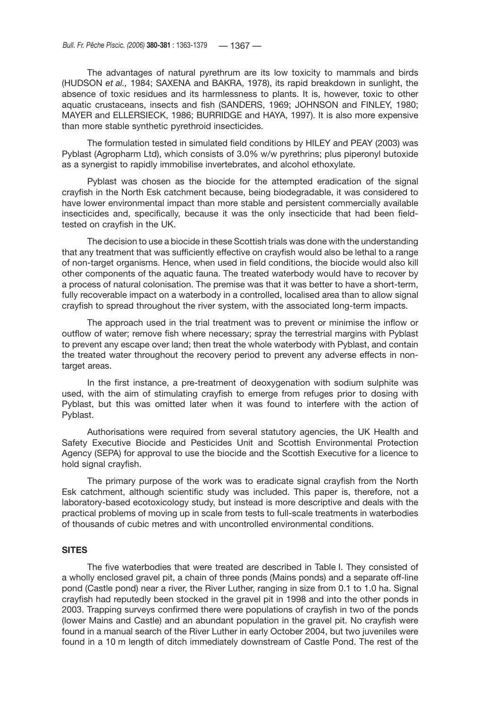The advantages of natural pyrethrum are its low toxicity to mammals and birds (HUDSON *et al.,* 1984; SAXENA and BAKRA, 1978), its rapid breakdown in sunlight, the absence of toxic residues and its harmlessness to plants. It is, however, toxic to other aquatic crustaceans, insects and fish (SANDERS, 1969; JOHNSON and FINLEY, 1980; MAYER and ELLERSIECK, 1986; BURRIDGE and HAYA, 1997). It is also more expensive than more stable synthetic pyrethroid insecticides.

The formulation tested in simulated field conditions by HILEY and PEAY (2003) was Pyblast (Agropharm Ltd), which consists of 3.0% w/w pyrethrins; plus piperonyl butoxide as a synergist to rapidly immobilise invertebrates, and alcohol ethoxylate.

Pyblast was chosen as the biocide for the attempted eradication of the signal crayfish in the North Esk catchment because, being biodegradable, it was considered to have lower environmental impact than more stable and persistent commercially available insecticides and, specifically, because it was the only insecticide that had been fieldtested on crayfish in the UK.

The decision to use a biocide in these Scottish trials was done with the understanding that any treatment that was sufficiently effective on crayfish would also be lethal to a range of non-target organisms. Hence, when used in field conditions, the biocide would also kill other components of the aquatic fauna. The treated waterbody would have to recover by a process of natural colonisation. The premise was that it was better to have a short-term, fully recoverable impact on a waterbody in a controlled, localised area than to allow signal crayfish to spread throughout the river system, with the associated long-term impacts.

The approach used in the trial treatment was to prevent or minimise the inflow or outflow of water; remove fish where necessary; spray the terrestrial margins with Pyblast to prevent any escape over land; then treat the whole waterbody with Pyblast, and contain the treated water throughout the recovery period to prevent any adverse effects in nontarget areas.

In the first instance, a pre-treatment of deoxygenation with sodium sulphite was used, with the aim of stimulating crayfish to emerge from refuges prior to dosing with Pyblast, but this was omitted later when it was found to interfere with the action of Pyblast.

Authorisations were required from several statutory agencies, the UK Health and Safety Executive Biocide and Pesticides Unit and Scottish Environmental Protection Agency (SEPA) for approval to use the biocide and the Scottish Executive for a licence to hold signal crayfish.

The primary purpose of the work was to eradicate signal crayfish from the North Esk catchment, although scientific study was included. This paper is, therefore, not a laboratory-based ecotoxicology study, but instead is more descriptive and deals with the practical problems of moving up in scale from tests to full-scale treatments in waterbodies of thousands of cubic metres and with uncontrolled environmental conditions.

#### **SITES**

The five waterbodies that were treated are described in Table I. They consisted of a wholly enclosed gravel pit, a chain of three ponds (Mains ponds) and a separate off-line pond (Castle pond) near a river, the River Luther, ranging in size from 0.1 to 1.0 ha. Signal crayfish had reputedly been stocked in the gravel pit in 1998 and into the other ponds in 2003. Trapping surveys confirmed there were populations of crayfish in two of the ponds (lower Mains and Castle) and an abundant population in the gravel pit. No crayfish were found in a manual search of the River Luther in early October 2004, but two juveniles were found in a 10 m length of ditch immediately downstream of Castle Pond. The rest of the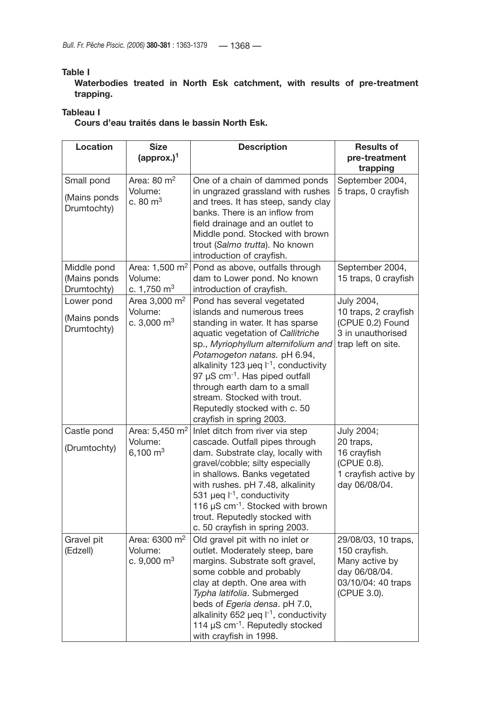## **Table I**

**Waterbodies treated in North Esk catchment, with results of pre-treatment trapping.**

# **Tableau I**

## **Cours d'eau traités dans le bassin North Esk.**

| <b>Location</b>                            | <b>Size</b>                                                     | <b>Description</b>                                                                                                                                                                                                                                                                                                                                                                                                                        | <b>Results of</b>                                                                                            |
|--------------------------------------------|-----------------------------------------------------------------|-------------------------------------------------------------------------------------------------------------------------------------------------------------------------------------------------------------------------------------------------------------------------------------------------------------------------------------------------------------------------------------------------------------------------------------------|--------------------------------------------------------------------------------------------------------------|
|                                            | (approx.) <sup>1</sup>                                          |                                                                                                                                                                                                                                                                                                                                                                                                                                           | pre-treatment                                                                                                |
|                                            |                                                                 |                                                                                                                                                                                                                                                                                                                                                                                                                                           | trapping                                                                                                     |
| Small pond<br>(Mains ponds<br>Drumtochty)  | Area: $80 \text{ m}^2$<br>Volume:<br>c. 80 $m3$                 | One of a chain of dammed ponds<br>in ungrazed grassland with rushes<br>and trees. It has steep, sandy clay<br>banks. There is an inflow from<br>field drainage and an outlet to<br>Middle pond. Stocked with brown<br>trout (Salmo trutta). No known<br>introduction of crayfish.                                                                                                                                                         | September 2004,<br>5 traps, 0 crayfish                                                                       |
| Middle pond<br>(Mains ponds<br>Drumtochty) | Area: 1,500 m <sup>2</sup><br>Volume:<br>c. $1,750 \text{ m}^3$ | Pond as above, outfalls through<br>dam to Lower pond. No known<br>introduction of crayfish.                                                                                                                                                                                                                                                                                                                                               | September 2004,<br>15 traps, 0 crayfish                                                                      |
| Lower pond<br>(Mains ponds<br>Drumtochty)  | Area 3,000 m <sup>2</sup><br>Volume:<br>c. $3,000 \text{ m}^3$  | Pond has several vegetated<br>islands and numerous trees<br>standing in water. It has sparse<br>aquatic vegetation of Callitriche<br>sp., Myriophyllum alternifolium and<br>Potamogeton natans. pH 6.94,<br>alkalinity 123 $\mu$ eq $I^{-1}$ , conductivity<br>97 $\mu$ S cm <sup>-1</sup> . Has piped outfall<br>through earth dam to a small<br>stream. Stocked with trout.<br>Reputedly stocked with c. 50<br>crayfish in spring 2003. | July 2004,<br>10 traps, 2 crayfish<br>(CPUE 0.2) Found<br>3 in unauthorised<br>trap left on site.            |
| Castle pond<br>(Drumtochty)                | Area: 5,450 m <sup>2</sup><br>Volume:<br>6,100 $m3$             | Inlet ditch from river via step<br>cascade. Outfall pipes through<br>dam. Substrate clay, locally with<br>gravel/cobble; silty especially<br>in shallows. Banks vegetated<br>with rushes. pH 7.48, alkalinity<br>531 $\mu$ eq $I^{-1}$ , conductivity<br>116 $\mu$ S cm <sup>-1</sup> . Stocked with brown<br>trout. Reputedly stocked with<br>c. 50 crayfish in spring 2003.                                                             | July 2004;<br>20 traps,<br>16 crayfish<br>(CPUE 0.8).<br>1 crayfish active by<br>day 06/08/04.               |
| Gravel pit<br>(Edzell)                     | Area: 6300 m <sup>2</sup><br>Volume:<br>c. $9,000 \text{ m}^3$  | Old gravel pit with no inlet or<br>outlet. Moderately steep, bare<br>margins. Substrate soft gravel,<br>some cobble and probably<br>clay at depth. One area with<br>Typha latifolia. Submerged<br>beds of Egeria densa. pH 7.0,<br>alkalinity 652 µeq $I^{-1}$ , conductivity<br>114 $\mu$ S cm <sup>-1</sup> . Reputedly stocked<br>with crayfish in 1998.                                                                               | 29/08/03, 10 traps,<br>150 crayfish.<br>Many active by<br>day 06/08/04.<br>03/10/04: 40 traps<br>(CPUE 3.0). |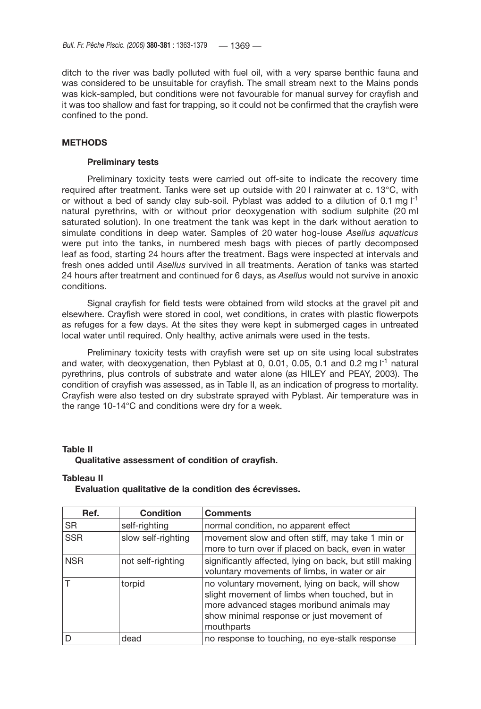ditch to the river was badly polluted with fuel oil, with a very sparse benthic fauna and was considered to be unsuitable for crayfish. The small stream next to the Mains ponds was kick-sampled, but conditions were not favourable for manual survey for crayfish and it was too shallow and fast for trapping, so it could not be confirmed that the crayfish were confined to the pond.

#### **METHODS**

#### **Preliminary tests**

Preliminary toxicity tests were carried out off-site to indicate the recovery time required after treatment. Tanks were set up outside with 20 l rainwater at c. 13°C, with or without a bed of sandy clay sub-soil. Pyblast was added to a dilution of 0.1 mg  $I<sup>-1</sup>$ natural pyrethrins, with or without prior deoxygenation with sodium sulphite (20 ml saturated solution). In one treatment the tank was kept in the dark without aeration to simulate conditions in deep water. Samples of 20 water hog-louse *Asellus aquaticus* were put into the tanks, in numbered mesh bags with pieces of partly decomposed leaf as food, starting 24 hours after the treatment. Bags were inspected at intervals and fresh ones added until *Asellus* survived in all treatments. Aeration of tanks was started 24 hours after treatment and continued for 6 days, as *Asellus* would not survive in anoxic conditions.

Signal crayfish for field tests were obtained from wild stocks at the gravel pit and elsewhere. Crayfish were stored in cool, wet conditions, in crates with plastic flowerpots as refuges for a few days. At the sites they were kept in submerged cages in untreated local water until required. Only healthy, active animals were used in the tests.

Preliminary toxicity tests with crayfish were set up on site using local substrates and water, with deoxygenation, then Pyblast at 0, 0.01, 0.05, 0.1 and 0.2 mg  $1<sup>1</sup>$  natural pyrethrins, plus controls of substrate and water alone (as HILEY and PEAY, 2003). The condition of crayfish was assessed, as in Table II, as an indication of progress to mortality. Crayfish were also tested on dry substrate sprayed with Pyblast. Air temperature was in the range 10-14°C and conditions were dry for a week.

#### **Table II**

#### **Qualitative assessment of condition of crayfish.**

**Tableau II**

### **Evaluation qualitative de la condition des écrevisses.**

| Ref.       | <b>Condition</b>   | <b>Comments</b>                                                                                                                                                                                          |
|------------|--------------------|----------------------------------------------------------------------------------------------------------------------------------------------------------------------------------------------------------|
| <b>SR</b>  | self-righting      | normal condition, no apparent effect                                                                                                                                                                     |
| <b>SSR</b> | slow self-righting | movement slow and often stiff, may take 1 min or<br>more to turn over if placed on back, even in water                                                                                                   |
| <b>NSR</b> | not self-righting  | significantly affected, lying on back, but still making<br>voluntary movements of limbs, in water or air                                                                                                 |
|            | torpid             | no voluntary movement, lying on back, will show<br>slight movement of limbs when touched, but in<br>more advanced stages moribund animals may<br>show minimal response or just movement of<br>mouthparts |
|            | dead               | no response to touching, no eye-stalk response                                                                                                                                                           |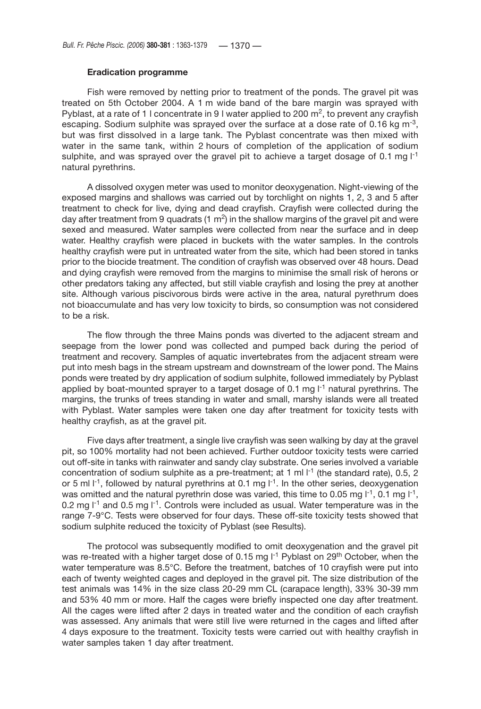#### **Eradication programme**

Fish were removed by netting prior to treatment of the ponds. The gravel pit was treated on 5th October 2004. A 1 m wide band of the bare margin was sprayed with Pyblast, at a rate of 1 l concentrate in 9 l water applied to 200  $\mathrm{m}^2$ , to prevent any crayfish escaping. Sodium sulphite was sprayed over the surface at a dose rate of 0.16 kg  $\text{m}^3$ , but was first dissolved in a large tank. The Pyblast concentrate was then mixed with water in the same tank, within 2 hours of completion of the application of sodium sulphite, and was sprayed over the gravel pit to achieve a target dosage of 0.1 mg  $1<sup>-1</sup>$ natural pyrethrins.

A dissolved oxygen meter was used to monitor deoxygenation. Night-viewing of the exposed margins and shallows was carried out by torchlight on nights 1, 2, 3 and 5 after treatment to check for live, dying and dead crayfish. Crayfish were collected during the day after treatment from 9 quadrats  $(1 \text{ m}^2)$  in the shallow margins of the gravel pit and were sexed and measured. Water samples were collected from near the surface and in deep water. Healthy crayfish were placed in buckets with the water samples. In the controls healthy crayfish were put in untreated water from the site, which had been stored in tanks prior to the biocide treatment. The condition of crayfish was observed over 48 hours. Dead and dying crayfish were removed from the margins to minimise the small risk of herons or other predators taking any affected, but still viable crayfish and losing the prey at another site. Although various piscivorous birds were active in the area, natural pyrethrum does not bioaccumulate and has very low toxicity to birds, so consumption was not considered to be a risk.

The flow through the three Mains ponds was diverted to the adjacent stream and seepage from the lower pond was collected and pumped back during the period of treatment and recovery. Samples of aquatic invertebrates from the adjacent stream were put into mesh bags in the stream upstream and downstream of the lower pond. The Mains ponds were treated by dry application of sodium sulphite, followed immediately by Pyblast applied by boat-mounted sprayer to a target dosage of 0.1 mg  $1<sup>-1</sup>$  natural pyrethrins. The margins, the trunks of trees standing in water and small, marshy islands were all treated with Pyblast. Water samples were taken one day after treatment for toxicity tests with healthy crayfish, as at the gravel pit.

Five days after treatment, a single live crayfish was seen walking by day at the gravel pit, so 100% mortality had not been achieved. Further outdoor toxicity tests were carried out off-site in tanks with rainwater and sandy clay substrate. One series involved a variable concentration of sodium sulphite as a pre-treatment; at 1 ml  $I^{-1}$  (the standard rate), 0.5, 2 or 5 ml  $1<sup>-1</sup>$ , followed by natural pyrethrins at 0.1 mg  $1<sup>-1</sup>$ . In the other series, deoxygenation was omitted and the natural pyrethrin dose was varied, this time to 0.05 mg  $\vert$ <sup>-1</sup>, 0.1 mg  $\vert$ <sup>-1</sup>, 0.2 mg  $1<sup>-1</sup>$  and 0.5 mg  $1<sup>-1</sup>$ . Controls were included as usual. Water temperature was in the range 7-9°C. Tests were observed for four days. These off-site toxicity tests showed that sodium sulphite reduced the toxicity of Pyblast (see Results).

The protocol was subsequently modified to omit deoxygenation and the gravel pit was re-treated with a higher target dose of 0.15 mg  $I^{-1}$  Pyblast on 29<sup>th</sup> October, when the water temperature was 8.5°C. Before the treatment, batches of 10 crayfish were put into each of twenty weighted cages and deployed in the gravel pit. The size distribution of the test animals was 14% in the size class 20-29 mm CL (carapace length), 33% 30-39 mm and 53% 40 mm or more. Half the cages were briefly inspected one day after treatment. All the cages were lifted after 2 days in treated water and the condition of each crayfish was assessed. Any animals that were still live were returned in the cages and lifted after 4 days exposure to the treatment. Toxicity tests were carried out with healthy crayfish in water samples taken 1 day after treatment.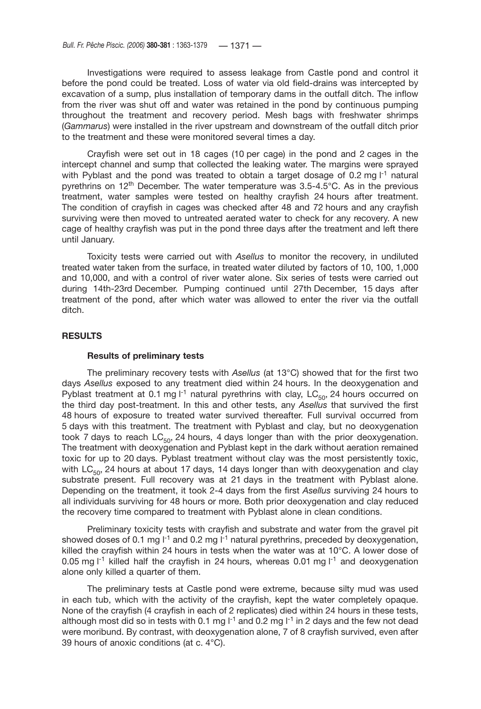Investigations were required to assess leakage from Castle pond and control it before the pond could be treated. Loss of water via old field-drains was intercepted by excavation of a sump, plus installation of temporary dams in the outfall ditch. The inflow from the river was shut off and water was retained in the pond by continuous pumping throughout the treatment and recovery period. Mesh bags with freshwater shrimps (*Gammarus*) were installed in the river upstream and downstream of the outfall ditch prior to the treatment and these were monitored several times a day.

Crayfish were set out in 18 cages (10 per cage) in the pond and 2 cages in the intercept channel and sump that collected the leaking water. The margins were sprayed with Pyblast and the pond was treated to obtain a target dosage of 0.2 mg  $I<sup>-1</sup>$  natural pyrethrins on  $12<sup>th</sup>$  December. The water temperature was  $3.5-4.5^{\circ}$ C. As in the previous treatment, water samples were tested on healthy crayfish 24 hours after treatment. The condition of crayfish in cages was checked after 48 and 72 hours and any crayfish surviving were then moved to untreated aerated water to check for any recovery. A new cage of healthy crayfish was put in the pond three days after the treatment and left there until January.

Toxicity tests were carried out with *Asellus* to monitor the recovery, in undiluted treated water taken from the surface, in treated water diluted by factors of 10, 100, 1,000 and 10,000, and with a control of river water alone. Six series of tests were carried out during 14th-23rd December. Pumping continued until 27th December, 15 days after treatment of the pond, after which water was allowed to enter the river via the outfall ditch.

### **RESULTS**

#### **Results of preliminary tests**

The preliminary recovery tests with *Asellus* (at 13°C) showed that for the first two days *Asellus* exposed to any treatment died within 24 hours. In the deoxygenation and Pyblast treatment at 0.1 mg  $I^{-1}$  natural pyrethrins with clay, LC<sub>50</sub>, 24 hours occurred on the third day post-treatment. In this and other tests, any *Asellus* that survived the first 48 hours of exposure to treated water survived thereafter. Full survival occurred from 5 days with this treatment. The treatment with Pyblast and clay, but no deoxygenation took 7 days to reach  $LC_{50}$ , 24 hours, 4 days longer than with the prior deoxygenation. The treatment with deoxygenation and Pyblast kept in the dark without aeration remained toxic for up to 20 days. Pyblast treatment without clay was the most persistently toxic, with  $LC_{50}$ , 24 hours at about 17 days, 14 days longer than with deoxygenation and clay substrate present. Full recovery was at 21 days in the treatment with Pyblast alone. Depending on the treatment, it took 2-4 days from the first *Asellus* surviving 24 hours to all individuals surviving for 48 hours or more. Both prior deoxygenation and clay reduced the recovery time compared to treatment with Pyblast alone in clean conditions.

Preliminary toxicity tests with crayfish and substrate and water from the gravel pit showed doses of 0.1 mg  $I^{-1}$  and 0.2 mg  $I^{-1}$  natural pyrethrins, preceded by deoxygenation, killed the crayfish within 24 hours in tests when the water was at 10°C. A lower dose of 0.05 mg  $I^{-1}$  killed half the crayfish in 24 hours, whereas 0.01 mg  $I^{-1}$  and deoxygenation alone only killed a quarter of them.

The preliminary tests at Castle pond were extreme, because silty mud was used in each tub, which with the activity of the crayfish, kept the water completely opaque. None of the crayfish (4 crayfish in each of 2 replicates) died within 24 hours in these tests, although most did so in tests with 0.1 mg  $1<sup>-1</sup>$  and 0.2 mg  $1<sup>-1</sup>$  in 2 days and the few not dead were moribund. By contrast, with deoxygenation alone, 7 of 8 crayfish survived, even after 39 hours of anoxic conditions (at c. 4°C).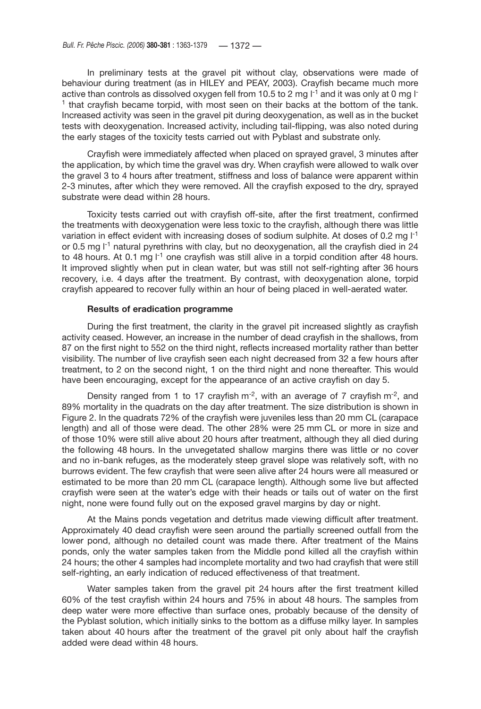In preliminary tests at the gravel pit without clay, observations were made of behaviour during treatment (as in HILEY and PEAY, 2003). Crayfish became much more active than controls as dissolved oxygen fell from 10.5 to 2 mg  $1<sup>-1</sup>$  and it was only at 0 mg  $1<sup>-1</sup>$ 1 that crayfish became torpid, with most seen on their backs at the bottom of the tank. Increased activity was seen in the gravel pit during deoxygenation, as well as in the bucket tests with deoxygenation. Increased activity, including tail-flipping, was also noted during the early stages of the toxicity tests carried out with Pyblast and substrate only.

Crayfish were immediately affected when placed on sprayed gravel, 3 minutes after the application, by which time the gravel was dry. When crayfish were allowed to walk over the gravel 3 to 4 hours after treatment, stiffness and loss of balance were apparent within 2-3 minutes, after which they were removed. All the crayfish exposed to the dry, sprayed substrate were dead within 28 hours.

Toxicity tests carried out with crayfish off-site, after the first treatment, confirmed the treatments with deoxygenation were less toxic to the crayfish, although there was little variation in effect evident with increasing doses of sodium sulphite. At doses of 0.2 mg  $1<sup>-1</sup>$ or 0.5 mg  $1<sup>-1</sup>$  natural pyrethrins with clay, but no deoxygenation, all the crayfish died in 24 to 48 hours. At 0.1 mg  $1^{-1}$  one crayfish was still alive in a torpid condition after 48 hours. It improved slightly when put in clean water, but was still not self-righting after 36 hours recovery, i.e. 4 days after the treatment. By contrast, with deoxygenation alone, torpid crayfish appeared to recover fully within an hour of being placed in well-aerated water.

#### **Results of eradication programme**

During the first treatment, the clarity in the gravel pit increased slightly as crayfish activity ceased. However, an increase in the number of dead crayfish in the shallows, from 87 on the first night to 552 on the third night, reflects increased mortality rather than better visibility. The number of live crayfish seen each night decreased from 32 a few hours after treatment, to 2 on the second night, 1 on the third night and none thereafter. This would have been encouraging, except for the appearance of an active crayfish on day 5.

Density ranged from 1 to 17 crayfish  $m<sup>-2</sup>$ , with an average of 7 crayfish  $m<sup>-2</sup>$ , and 89% mortality in the quadrats on the day after treatment. The size distribution is shown in Figure 2. In the quadrats 72% of the crayfish were juveniles less than 20 mm CL (carapace length) and all of those were dead. The other 28% were 25 mm CL or more in size and of those 10% were still alive about 20 hours after treatment, although they all died during the following 48 hours. In the unvegetated shallow margins there was little or no cover and no in-bank refuges, as the moderately steep gravel slope was relatively soft, with no burrows evident. The few crayfish that were seen alive after 24 hours were all measured or estimated to be more than 20 mm CL (carapace length). Although some live but affected crayfish were seen at the water's edge with their heads or tails out of water on the first night, none were found fully out on the exposed gravel margins by day or night.

At the Mains ponds vegetation and detritus made viewing difficult after treatment. Approximately 40 dead crayfish were seen around the partially screened outfall from the lower pond, although no detailed count was made there. After treatment of the Mains ponds, only the water samples taken from the Middle pond killed all the crayfish within 24 hours; the other 4 samples had incomplete mortality and two had crayfish that were still self-righting, an early indication of reduced effectiveness of that treatment.

Water samples taken from the gravel pit 24 hours after the first treatment killed 60% of the test crayfish within 24 hours and 75% in about 48 hours. The samples from deep water were more effective than surface ones, probably because of the density of the Pyblast solution, which initially sinks to the bottom as a diffuse milky layer. In samples taken about 40 hours after the treatment of the gravel pit only about half the crayfish added were dead within 48 hours.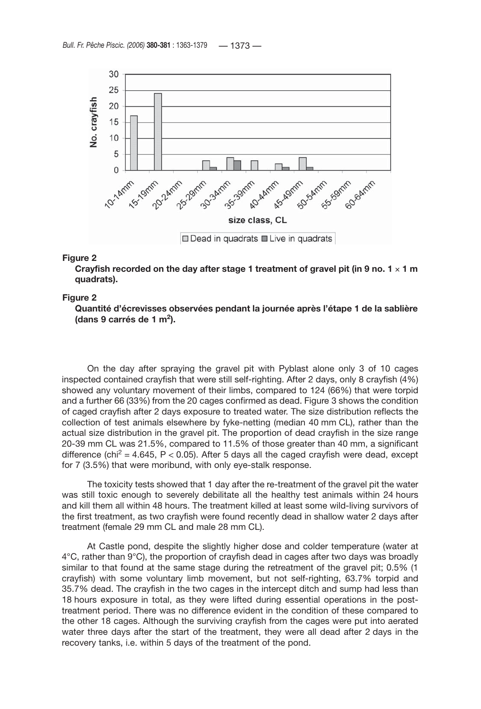

#### **Figure 2**

**Crayfish recorded on the day after stage 1 treatment of gravel pit (in 9 no. 1** × **1 m quadrats).**

#### **Figure 2**

**Quantité d'écrevisses observées pendant la journée après l'étape 1 de la sablière (dans 9 carrés de 1 m2).**

On the day after spraying the gravel pit with Pyblast alone only 3 of 10 cages inspected contained crayfish that were still self-righting. After 2 days, only 8 crayfish (4%) showed any voluntary movement of their limbs, compared to 124 (66%) that were torpid and a further 66 (33%) from the 20 cages confirmed as dead. Figure 3 shows the condition of caged crayfish after 2 days exposure to treated water. The size distribution reflects the collection of test animals elsewhere by fyke-netting (median 40 mm CL), rather than the actual size distribution in the gravel pit. The proportion of dead crayfish in the size range 20-39 mm CL was 21.5%, compared to 11.5% of those greater than 40 mm, a significant difference (chi<sup>2</sup> = 4.645, P < 0.05). After 5 days all the caged crayfish were dead, except for 7 (3.5%) that were moribund, with only eye-stalk response.

The toxicity tests showed that 1 day after the re-treatment of the gravel pit the water was still toxic enough to severely debilitate all the healthy test animals within 24 hours and kill them all within 48 hours. The treatment killed at least some wild-living survivors of the first treatment, as two crayfish were found recently dead in shallow water 2 days after treatment (female 29 mm CL and male 28 mm CL).

At Castle pond, despite the slightly higher dose and colder temperature (water at 4°C, rather than 9°C), the proportion of crayfish dead in cages after two days was broadly similar to that found at the same stage during the retreatment of the gravel pit; 0.5% (1 crayfish) with some voluntary limb movement, but not self-righting, 63.7% torpid and 35.7% dead. The crayfish in the two cages in the intercept ditch and sump had less than 18 hours exposure in total, as they were lifted during essential operations in the posttreatment period. There was no difference evident in the condition of these compared to the other 18 cages. Although the surviving crayfish from the cages were put into aerated water three days after the start of the treatment, they were all dead after 2 days in the recovery tanks, i.e. within 5 days of the treatment of the pond.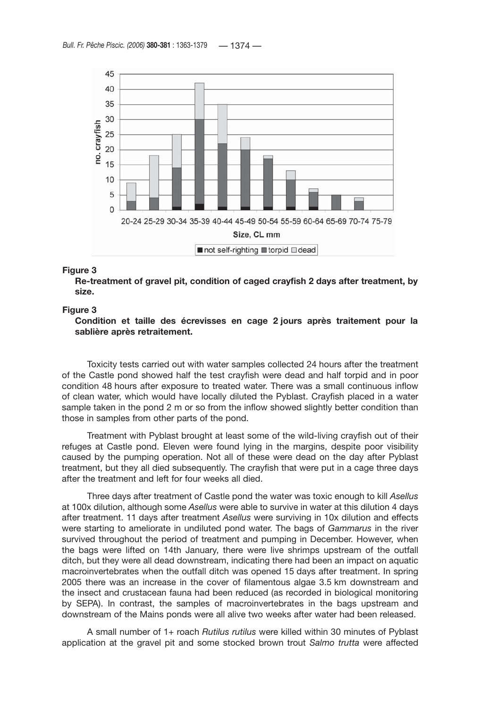

### **Figure 3**

**Re-treatment of gravel pit, condition of caged crayfish 2 days after treatment, by size.**

### **Figure 3**

#### **Condition et taille des écrevisses en cage 2 jours après traitement pour la sablière après retraitement.**

Toxicity tests carried out with water samples collected 24 hours after the treatment of the Castle pond showed half the test crayfish were dead and half torpid and in poor condition 48 hours after exposure to treated water. There was a small continuous inflow of clean water, which would have locally diluted the Pyblast. Crayfish placed in a water sample taken in the pond 2 m or so from the inflow showed slightly better condition than those in samples from other parts of the pond.

Treatment with Pyblast brought at least some of the wild-living crayfish out of their refuges at Castle pond. Eleven were found lying in the margins, despite poor visibility caused by the pumping operation. Not all of these were dead on the day after Pyblast treatment, but they all died subsequently. The crayfish that were put in a cage three days after the treatment and left for four weeks all died.

Three days after treatment of Castle pond the water was toxic enough to kill *Asellus* at 100x dilution, although some *Asellus* were able to survive in water at this dilution 4 days after treatment. 11 days after treatment *Asellus* were surviving in 10x dilution and effects were starting to ameliorate in undiluted pond water. The bags of *Gammarus* in the river survived throughout the period of treatment and pumping in December. However, when the bags were lifted on 14th January, there were live shrimps upstream of the outfall ditch, but they were all dead downstream, indicating there had been an impact on aquatic macroinvertebrates when the outfall ditch was opened 15 days after treatment. In spring 2005 there was an increase in the cover of filamentous algae 3.5 km downstream and the insect and crustacean fauna had been reduced (as recorded in biological monitoring by SEPA). In contrast, the samples of macroinvertebrates in the bags upstream and downstream of the Mains ponds were all alive two weeks after water had been released.

A small number of 1+ roach *Rutilus rutilus* were killed within 30 minutes of Pyblast application at the gravel pit and some stocked brown trout *Salmo trutta* were affected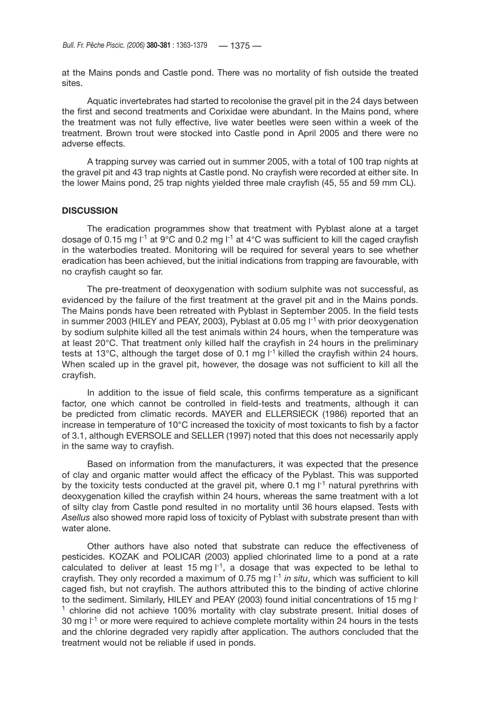at the Mains ponds and Castle pond. There was no mortality of fish outside the treated sites.

Aquatic invertebrates had started to recolonise the gravel pit in the 24 days between the first and second treatments and Corixidae were abundant. In the Mains pond, where the treatment was not fully effective, live water beetles were seen within a week of the treatment. Brown trout were stocked into Castle pond in April 2005 and there were no adverse effects.

A trapping survey was carried out in summer 2005, with a total of 100 trap nights at the gravel pit and 43 trap nights at Castle pond. No crayfish were recorded at either site. In the lower Mains pond, 25 trap nights yielded three male crayfish (45, 55 and 59 mm CL).

### **DISCUSSION**

The eradication programmes show that treatment with Pyblast alone at a target dosage of 0.15 mg  $I^{-1}$  at 9°C and 0.2 mg  $I^{-1}$  at 4°C was sufficient to kill the caged crayfish in the waterbodies treated. Monitoring will be required for several years to see whether eradication has been achieved, but the initial indications from trapping are favourable, with no crayfish caught so far.

The pre-treatment of deoxygenation with sodium sulphite was not successful, as evidenced by the failure of the first treatment at the gravel pit and in the Mains ponds. The Mains ponds have been retreated with Pyblast in September 2005. In the field tests in summer 2003 (HILEY and PEAY, 2003), Pyblast at 0.05 mg I<sup>-1</sup> with prior deoxygenation by sodium sulphite killed all the test animals within 24 hours, when the temperature was at least 20°C. That treatment only killed half the crayfish in 24 hours in the preliminary tests at 13°C, although the target dose of 0.1 mg  $1<sup>1</sup>$  killed the crayfish within 24 hours. When scaled up in the gravel pit, however, the dosage was not sufficient to kill all the crayfish.

In addition to the issue of field scale, this confirms temperature as a significant factor, one which cannot be controlled in field-tests and treatments, although it can be predicted from climatic records. MAYER and ELLERSIECK (1986) reported that an increase in temperature of 10°C increased the toxicity of most toxicants to fish by a factor of 3.1, although EVERSOLE and SELLER (1997) noted that this does not necessarily apply in the same way to crayfish.

Based on information from the manufacturers, it was expected that the presence of clay and organic matter would affect the efficacy of the Pyblast. This was supported by the toxicity tests conducted at the gravel pit, where  $0.1 \text{ mg}$   $\text{F}$ <sup>1</sup> natural pyrethrins with deoxygenation killed the crayfish within 24 hours, whereas the same treatment with a lot of silty clay from Castle pond resulted in no mortality until 36 hours elapsed. Tests with *Asellus* also showed more rapid loss of toxicity of Pyblast with substrate present than with water alone.

Other authors have also noted that substrate can reduce the effectiveness of pesticides. KOZAK and POLICAR (2003) applied chlorinated lime to a pond at a rate calculated to deliver at least 15 mg  $I^{-1}$ , a dosage that was expected to be lethal to crayfish. They only recorded a maximum of 0.75 mg l<sup>-1</sup> in situ, which was sufficient to kill caged fish, but not crayfish. The authors attributed this to the binding of active chlorine to the sediment. Similarly, HILEY and PEAY (2003) found initial concentrations of 15 mg I<sup>-</sup>  $<sup>1</sup>$  chlorine did not achieve 100% mortality with clay substrate present. Initial doses of</sup>  $30$  mg  $1<sup>-1</sup>$  or more were required to achieve complete mortality within 24 hours in the tests and the chlorine degraded very rapidly after application. The authors concluded that the treatment would not be reliable if used in ponds.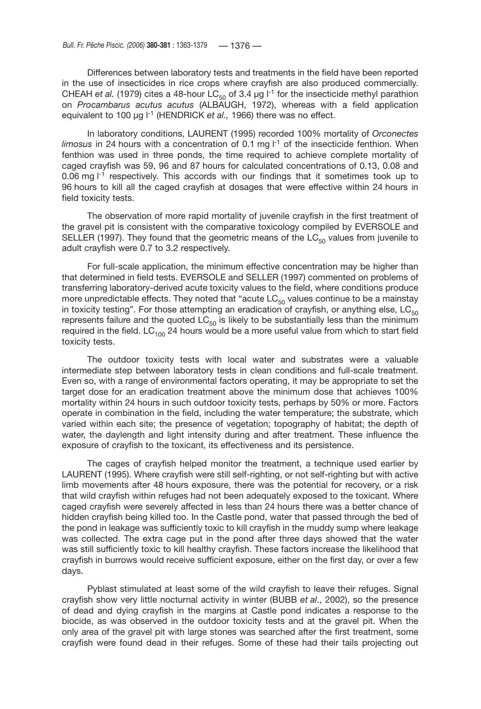Differences between laboratory tests and treatments in the field have been reported in the use of insecticides in rice crops where crayfish are also produced commercially. CHEAH *et al.* (1979) cites a 48-hour LC<sub>50</sub> of 3.4 µg  $I^{-1}$  for the insecticide methyl parathion on *Procambarus acutus acutus* (ALBAUGH, 1972), whereas with a field application equivalent to 100 µg l-1 (HENDRICK *et al.,* 1966) there was no effect.

In laboratory conditions, LAURENT (1995) recorded 100% mortality of *Orconectes limosus* in 24 hours with a concentration of 0.1 mg  $\vert$ <sup>1</sup> of the insecticide fenthion. When fenthion was used in three ponds, the time required to achieve complete mortality of caged crayfish was 59, 96 and 87 hours for calculated concentrations of 0.13, 0.08 and 0.06 mg  $I^{-1}$  respectively. This accords with our findings that it sometimes took up to 96 hours to kill all the caged crayfish at dosages that were effective within 24 hours in field toxicity tests.

The observation of more rapid mortality of juvenile crayfish in the first treatment of the gravel pit is consistent with the comparative toxicology compiled by EVERSOLE and SELLER (1997). They found that the geometric means of the  $LC_{50}$  values from juvenile to adult crayfish were 0.7 to 3.2 respectively.

For full-scale application, the minimum effective concentration may be higher than that determined in field tests. EVERSOLE and SELLER (1997) commented on problems of transferring laboratory-derived acute toxicity values to the field, where conditions produce more unpredictable effects. They noted that "acute  $LC_{50}$  values continue to be a mainstay in toxicity testing". For those attempting an eradication of crayfish, or anything else,  $LC_{50}$ represents failure and the quoted  $LC_{50}$  is likely to be substantially less than the minimum required in the field.  $LC_{100}$  24 hours would be a more useful value from which to start field toxicity tests.

The outdoor toxicity tests with local water and substrates were a valuable intermediate step between laboratory tests in clean conditions and full-scale treatment. Even so, with a range of environmental factors operating, it may be appropriate to set the target dose for an eradication treatment above the minimum dose that achieves 100% mortality within 24 hours in such outdoor toxicity tests, perhaps by 50% or more. Factors operate in combination in the field, including the water temperature; the substrate, which varied within each site; the presence of vegetation; topography of habitat; the depth of water, the daylength and light intensity during and after treatment. These influence the exposure of crayfish to the toxicant, its effectiveness and its persistence.

The cages of crayfish helped monitor the treatment, a technique used earlier by LAURENT (1995). Where crayfish were still self-righting, or not self-righting but with active limb movements after 48 hours exposure, there was the potential for recovery, or a risk that wild crayfish within refuges had not been adequately exposed to the toxicant. Where caged crayfish were severely affected in less than 24 hours there was a better chance of hidden crayfish being killed too. In the Castle pond, water that passed through the bed of the pond in leakage was sufficiently toxic to kill crayfish in the muddy sump where leakage was collected. The extra cage put in the pond after three days showed that the water was still sufficiently toxic to kill healthy crayfish. These factors increase the likelihood that crayfish in burrows would receive sufficient exposure, either on the first day, or over a few days.

Pyblast stimulated at least some of the wild crayfish to leave their refuges. Signal crayfish show very little nocturnal activity in winter (BUBB *et al*., 2002), so the presence of dead and dying crayfish in the margins at Castle pond indicates a response to the biocide, as was observed in the outdoor toxicity tests and at the gravel pit. When the only area of the gravel pit with large stones was searched after the first treatment, some crayfish were found dead in their refuges. Some of these had their tails projecting out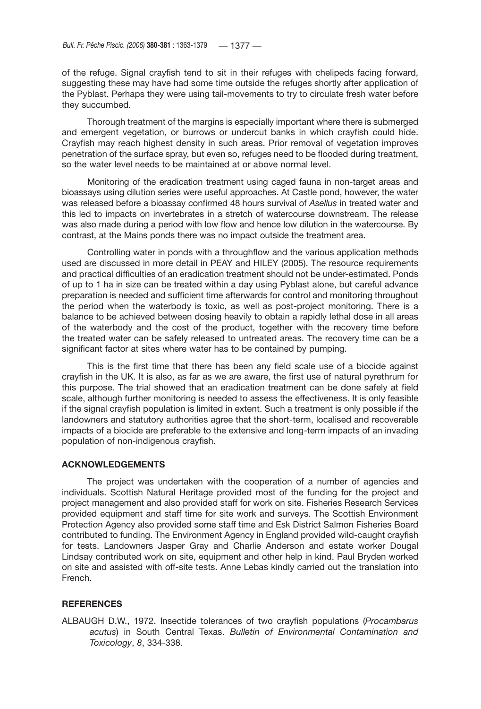of the refuge. Signal crayfish tend to sit in their refuges with chelipeds facing forward, suggesting these may have had some time outside the refuges shortly after application of the Pyblast. Perhaps they were using tail-movements to try to circulate fresh water before they succumbed.

Thorough treatment of the margins is especially important where there is submerged and emergent vegetation, or burrows or undercut banks in which crayfish could hide. Crayfish may reach highest density in such areas. Prior removal of vegetation improves penetration of the surface spray, but even so, refuges need to be flooded during treatment, so the water level needs to be maintained at or above normal level.

Monitoring of the eradication treatment using caged fauna in non-target areas and bioassays using dilution series were useful approaches. At Castle pond, however, the water was released before a bioassay confirmed 48 hours survival of *Asellus* in treated water and this led to impacts on invertebrates in a stretch of watercourse downstream. The release was also made during a period with low flow and hence low dilution in the watercourse. By contrast, at the Mains ponds there was no impact outside the treatment area.

Controlling water in ponds with a throughflow and the various application methods used are discussed in more detail in PEAY and HILEY (2005). The resource requirements and practical difficulties of an eradication treatment should not be under-estimated. Ponds of up to 1 ha in size can be treated within a day using Pyblast alone, but careful advance preparation is needed and sufficient time afterwards for control and monitoring throughout the period when the waterbody is toxic, as well as post-project monitoring. There is a balance to be achieved between dosing heavily to obtain a rapidly lethal dose in all areas of the waterbody and the cost of the product, together with the recovery time before the treated water can be safely released to untreated areas. The recovery time can be a significant factor at sites where water has to be contained by pumping.

This is the first time that there has been any field scale use of a biocide against crayfish in the UK. It is also, as far as we are aware, the first use of natural pyrethrum for this purpose. The trial showed that an eradication treatment can be done safely at field scale, although further monitoring is needed to assess the effectiveness. It is only feasible if the signal crayfish population is limited in extent. Such a treatment is only possible if the landowners and statutory authorities agree that the short-term, localised and recoverable impacts of a biocide are preferable to the extensive and long-term impacts of an invading population of non-indigenous crayfish.

### **ACKNOWLEDGEMENTS**

The project was undertaken with the cooperation of a number of agencies and individuals. Scottish Natural Heritage provided most of the funding for the project and project management and also provided staff for work on site. Fisheries Research Services provided equipment and staff time for site work and surveys. The Scottish Environment Protection Agency also provided some staff time and Esk District Salmon Fisheries Board contributed to funding. The Environment Agency in England provided wild-caught crayfish for tests. Landowners Jasper Gray and Charlie Anderson and estate worker Dougal Lindsay contributed work on site, equipment and other help in kind. Paul Bryden worked on site and assisted with off-site tests. Anne Lebas kindly carried out the translation into French.

### **REFERENCES**

ALBAUGH D.W., 1972. Insectide tolerances of two crayfish populations (*Procambarus acutus*) in South Central Texas. *Bulletin of Environmental Contamination and Toxicology*, *8*, 334-338.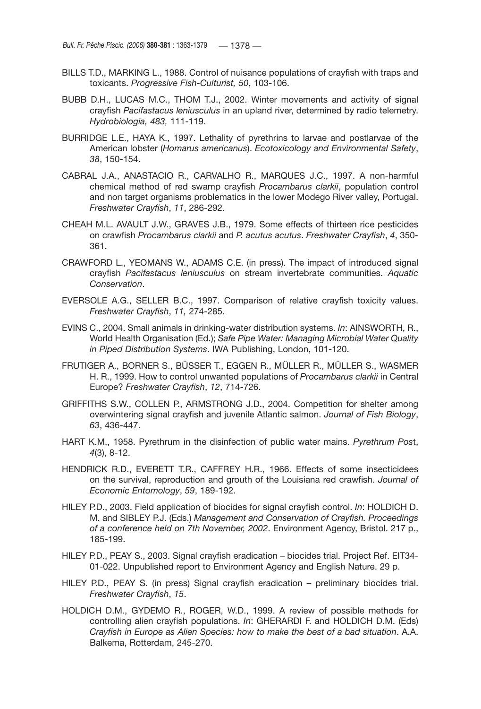- BILLS T.D., MARKING L., 1988. Control of nuisance populations of crayfish with traps and toxicants. *Progressive Fish-Culturist, 50*, 103-106.
- BUBB D.H., LUCAS M.C., THOM T.J., 2002. Winter movements and activity of signal crayfish *Pacifastacus leniusculus* in an upland river, determined by radio telemetry. *Hydrobiologia, 483,* 111-119.
- BURRIDGE L.E., HAYA K., 1997. Lethality of pyrethrins to larvae and postlarvae of the American lobster (*Homarus americanus*). *Ecotoxicology and Environmental Safety*, *38*, 150-154.
- CABRAL J.A., ANASTACIO R., CARVALHO R., MARQUES J.C., 1997. A non-harmful chemical method of red swamp crayfish *Procambarus clarkii*, population control and non target organisms problematics in the lower Modego River valley, Portugal. *Freshwater Crayfish*, *11*, 286-292.
- CHEAH M.L. AVAULT J.W., GRAVES J.B., 1979. Some effects of thirteen rice pesticides on crawfish *Procambarus clarkii* and *P. acutus acutus*. *Freshwater Crayfish*, *4*, 350- 361.
- CRAWFORD L., YEOMANS W., ADAMS C.E. (in press). The impact of introduced signal crayfish *Pacifastacus leniusculus* on stream invertebrate communities. *Aquatic Conservation*.
- EVERSOLE A.G., SELLER B.C., 1997. Comparison of relative crayfish toxicity values. *Freshwater Crayfish*, *11,* 274-285.
- EVINS C., 2004. Small animals in drinking-water distribution systems. *In*: AINSWORTH, R., World Health Organisation (Ed.); *Safe Pipe Water: Managing Microbial Water Quality in Piped Distribution Systems*. IWA Publishing, London, 101-120.
- FRUTIGER A., BORNER S., BÜSSER T., EGGEN R., MÜLLER R., MÜLLER S., WASMER H. R., 1999. How to control unwanted populations of *Procambarus clarkii* in Central Europe? *Freshwater Crayfish*, *12*, 714-726.
- GRIFFITHS S.W., COLLEN P., ARMSTRONG J.D., 2004. Competition for shelter among overwintering signal crayfish and juvenile Atlantic salmon. *Journal of Fish Biology*, *63*, 436-447.
- HART K.M., 1958. Pyrethrum in the disinfection of public water mains. *Pyrethrum Pos*t, *4*(3), 8-12.
- HENDRICK R.D., EVERETT T.R., CAFFREY H.R., 1966. Effects of some insecticidees on the survival, reproduction and grouth of the Louisiana red crawfish. *Journal of Economic Entomology*, *59*, 189-192.
- HILEY P.D., 2003. Field application of biocides for signal crayfish control. *In*: HOLDICH D. M. and SIBLEY P.J. (Eds.) *Management and Conservation of Crayfish. Proceedings of a conference held on 7th November, 2002*. Environment Agency, Bristol. 217 p., 185-199.
- HILEY P.D., PEAY S., 2003. Signal crayfish eradication biocides trial. Project Ref. EIT34- 01-022. Unpublished report to Environment Agency and English Nature. 29 p.
- HILEY P.D., PEAY S. (in press) Signal crayfish eradication preliminary biocides trial. *Freshwater Crayfish*, *15*.
- HOLDICH D.M., GYDEMO R., ROGER, W.D., 1999. A review of possible methods for controlling alien crayfish populations. *In*: GHERARDI F. and HOLDICH D.M. (Eds) *Crayfish in Europe as Alien Species: how to make the best of a bad situation*. A.A. Balkema, Rotterdam, 245-270.